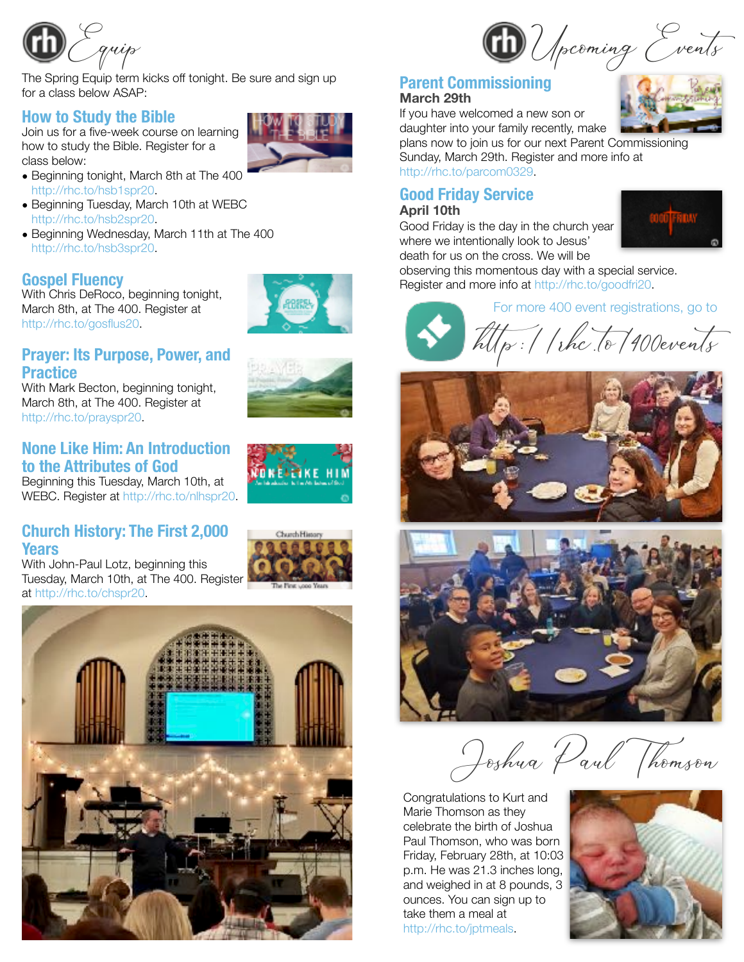

The Spring Equip term kicks off tonight. Be sure and sign up for a class below ASAP:

## **How to Study the Bible**

Join us for a five-week course on learning how to study the Bible. Register for a class below:

- Beginning tonight, March 8th at The 400 <http://rhc.to/hsb1spr20>.
- Beginning Tuesday, March 10th at WEBC <http://rhc.to/hsb2spr20>.
- Beginning Wednesday, March 11th at The 400 <http://rhc.to/hsb3spr20>.

## **Gospel Fluency**

With Chris DeRoco, beginning tonight, March 8th, at The 400. Register at <http://rhc.to/gosflus20>.



# **Prayer: Its Purpose, Power, and Practice**

With Mark Becton, beginning tonight, March 8th, at The 400. Register at <http://rhc.to/prayspr20>.

## **None Like Him: An Introduction to the Attributes of God**

Beginning this Tuesday, March 10th, at WEBC. Register at [http://rhc.to/nlhspr20.](http://rhc.to/nlhspr20)

## **Church History: The First 2,000 Years**

With John-Paul Lotz, beginning this Tuesday, March 10th, at The 400. Register at <http://rhc.to/chspr20>.





## **Parent Commissioning March 29th**

If you have welcomed a new son or daughter into your family recently, make plans now to join us for our next Parent Commissioning

Sunday, March 29th. Register and more info at <http://rhc.to/parcom0329>.

## **Good Friday Service April 10th**

Good Friday is the day in the church year where we intentionally look to Jesus' death for us on the cross. We will be



observing this momentous day with a special service. Register and more info at http://rhc.to/goodfri20.

For more 400 event registrations, go to

 $\widehat{hllp}$  : //rhc. to/400events





Joshua Paul Thomson

Congratulations to Kurt and Marie Thomson as they celebrate the birth of Joshua Paul Thomson, who was born Friday, February 28th, at 10:03 p.m. He was 21.3 inches long, and weighed in at 8 pounds, 3 ounces. You can sign up to take them a meal at [http://rhc.to/jptmeals.](http://rhc.to/jptmeals)